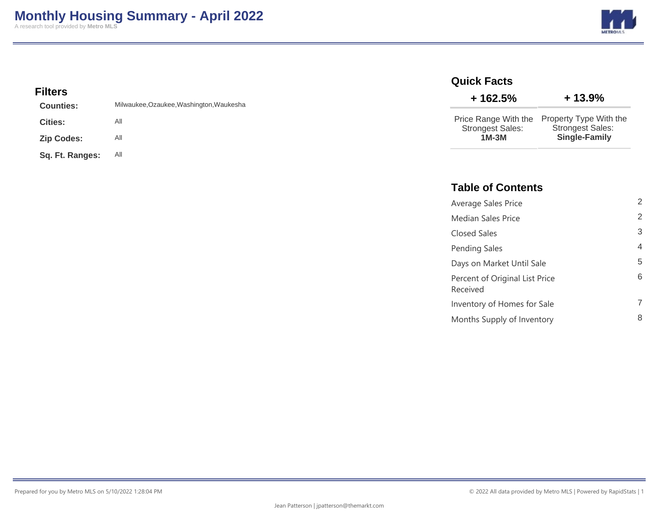**METRO** 

### **Filters**

| <b>Counties:</b>  | Milwaukee, Ozaukee, Washington, Waukesha |
|-------------------|------------------------------------------|
| <b>Cities:</b>    | All                                      |
| <b>Zip Codes:</b> | All                                      |
| Sq. Ft. Ranges:   | All                                      |

### **Quick Facts**

| $+162.5%$               | $+13.9%$                |  |  |  |  |
|-------------------------|-------------------------|--|--|--|--|
| Price Range With the    | Property Type With the  |  |  |  |  |
| <b>Strongest Sales:</b> | <b>Strongest Sales:</b> |  |  |  |  |
| $1M-3M$                 | <b>Single-Family</b>    |  |  |  |  |

### **Table of Contents**

| Average Sales Price                        | 2 |
|--------------------------------------------|---|
| <b>Median Sales Price</b>                  | 2 |
| Closed Sales                               | 3 |
| Pending Sales                              | 4 |
| Days on Market Until Sale                  | 5 |
| Percent of Original List Price<br>Received | 6 |
| Inventory of Homes for Sale                |   |
| Months Supply of Inventory                 | 8 |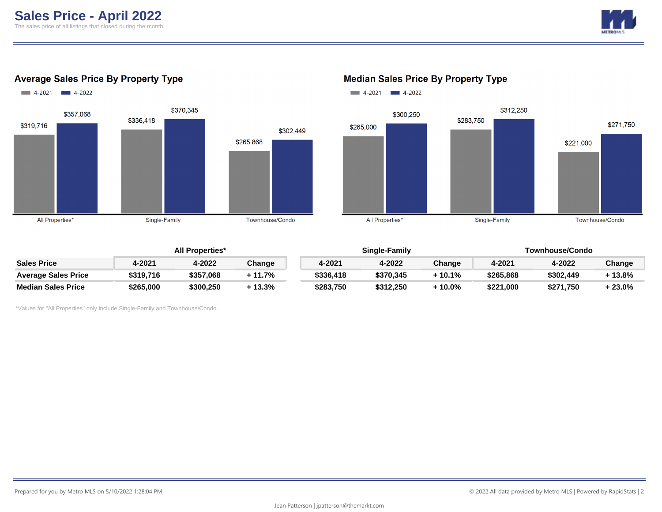

### **Average Sales Price By Property Type**



#### **Median Sales Price By Property Type**



|                            | <b>All Properties*</b> |           |         |           | Single-Family |        | Townhouse/Condo |           |           |
|----------------------------|------------------------|-----------|---------|-----------|---------------|--------|-----------------|-----------|-----------|
| <b>Sales Price</b>         | 4-2021                 | 4-2022    | Change  | 4-2021    | 4-2022        | Change | 4-2021          | 4-2022    | Change    |
| <b>Average Sales Price</b> | \$319,716              | \$357,068 | 11.7%   | \$336.418 | \$370,345     | 10.1%  | \$265,868       | \$302,449 | $-13.8\%$ |
| <b>Median Sales Price</b>  | \$265,000              | \$300.250 | + 13.3% | \$283,750 | \$312.250     | 10.0%  | \$221,000       | \$271,750 | $-23.0\%$ |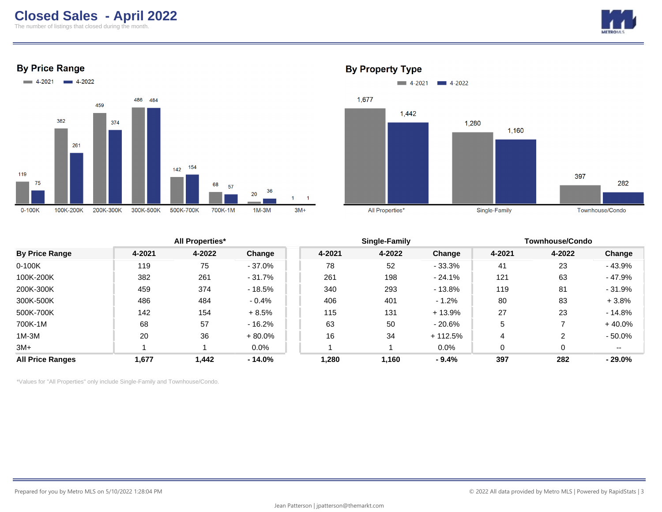# **Closed Sales - April 2022**

The number of listings that closed during the month.



**By Price Range** 





### **By Property Type**

|                         | <b>All Properties*</b> |        |           |        | <b>Single-Family</b> |           | <b>Townhouse/Condo</b> |        |           |
|-------------------------|------------------------|--------|-----------|--------|----------------------|-----------|------------------------|--------|-----------|
| <b>By Price Range</b>   | 4-2021                 | 4-2022 | Change    | 4-2021 | 4-2022               | Change    | 4-2021                 | 4-2022 | Change    |
| $0-100K$                | 119                    | 75     | $-37.0%$  | 78     | 52                   | $-33.3%$  | 41                     | 23     | $-43.9%$  |
| 100K-200K               | 382                    | 261    | $-31.7%$  | 261    | 198                  | $-24.1%$  | 121                    | 63     | $-47.9%$  |
| 200K-300K               | 459                    | 374    | $-18.5%$  | 340    | 293                  | $-13.8%$  | 119                    | 81     | $-31.9%$  |
| 300K-500K               | 486                    | 484    | $-0.4%$   | 406    | 401                  | $-1.2%$   | 80                     | 83     | $+3.8%$   |
| 500K-700K               | 142                    | 154    | $+8.5%$   | 115    | 131                  | $+13.9%$  | 27                     | 23     | $-14.8%$  |
| 700K-1M                 | 68                     | 57     | $-16.2%$  | 63     | 50                   | - 20.6%   | 5                      |        | $+40.0%$  |
| $1M-3M$                 | 20                     | 36     | $+80.0%$  | 16     | 34                   | $+112.5%$ | 4                      |        | $-50.0\%$ |
| $3M+$                   |                        |        | $0.0\%$   |        |                      | $0.0\%$   |                        |        | $- -$     |
| <b>All Price Ranges</b> | 1,677                  | 1,442  | $-14.0\%$ | 1,280  | 1,160                | $-9.4%$   | 397                    | 282    | $-29.0\%$ |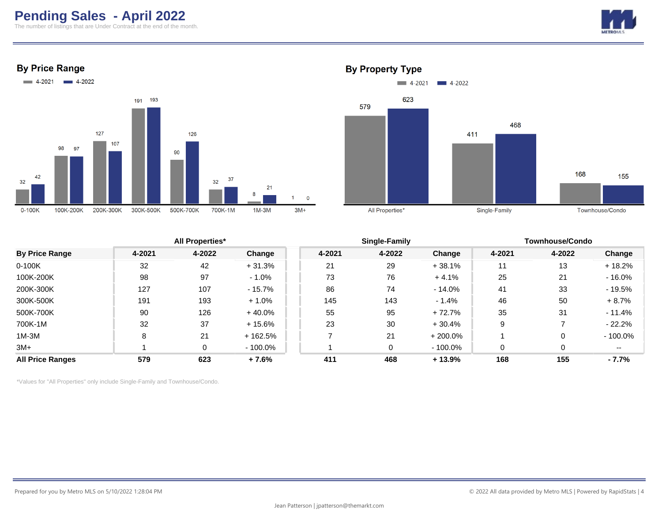# **Pending Sales - April 2022**

The number of listings that are Under Contract at the end of the month.



**By Price Range** 





|                         |        | <b>All Properties*</b> |           |        | Single-Family |            | <b>Townhouse/Condo</b> |        |            |
|-------------------------|--------|------------------------|-----------|--------|---------------|------------|------------------------|--------|------------|
| <b>By Price Range</b>   | 4-2021 | 4-2022                 | Change    | 4-2021 | 4-2022        | Change     | 4-2021                 | 4-2022 | Change     |
| $0-100K$                | 32     | 42                     | $+31.3%$  | 21     | 29            | + 38.1%    | 11                     | 13     | $+18.2%$   |
| 100K-200K               | 98     | 97                     | $-1.0\%$  | 73     | 76            | $+4.1%$    | 25                     | 21     | $-16.0\%$  |
| 200K-300K               | 127    | 107                    | $-15.7\%$ | 86     | 74            | $-14.0\%$  | 41                     | 33     | $-19.5%$   |
| 300K-500K               | 191    | 193                    | $+1.0%$   | 145    | 143           | $-1.4%$    | 46                     | 50     | $+8.7%$    |
| 500K-700K               | 90     | 126                    | $+40.0\%$ | 55     | 95            | + 72.7%    | 35                     | 31     | - 11.4%    |
| 700K-1M                 | 32     | 37                     | $+15.6%$  | 23     | 30            | $+30.4%$   | 9                      |        | $-22.2%$   |
| 1M-3M                   |        | 21                     | + 162.5%  |        | 21            | $+200.0\%$ |                        |        | $-100.0\%$ |
| $3M+$                   |        | 0                      | - 100.0%  |        | $\Omega$      | - 100.0%   | $\Omega$               | 0      | $- -$      |
| <b>All Price Ranges</b> | 579    | 623                    | $+7.6%$   | 411    | 468           | $+13.9%$   | 168                    | 155    | $-7.7\%$   |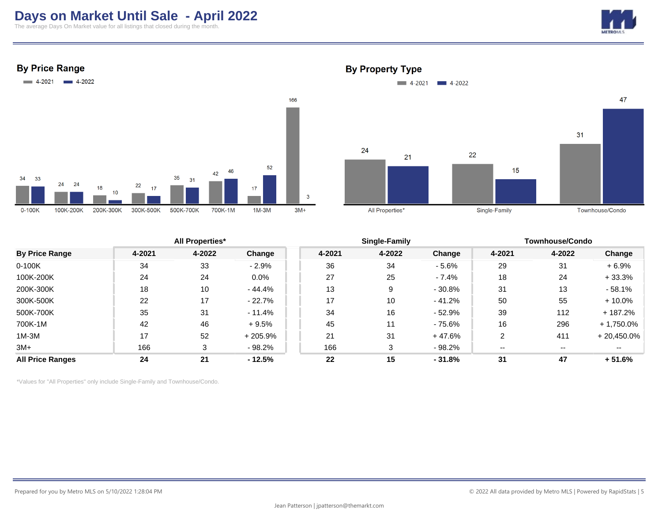# **Days on Market Until Sale - April 2022**

The average Days On Market value for all listings that closed during the month.



**By Price Range** 



### **By Property Type**



|                         |        | <b>All Properties*</b> |           |        | Single-Family |          |        | <b>Townhouse/Condo</b> |               |  |
|-------------------------|--------|------------------------|-----------|--------|---------------|----------|--------|------------------------|---------------|--|
| <b>By Price Range</b>   | 4-2021 | 4-2022                 | Change    | 4-2021 | 4-2022        | Change   | 4-2021 | 4-2022                 | Change        |  |
| $0-100K$                | 34     | 33                     | $-2.9%$   | 36     | 34            | $-5.6%$  | 29     | 31                     | $+6.9%$       |  |
| 100K-200K               | 24     | 24                     | $0.0\%$   | 27     | 25            | $-7.4%$  | 18     | 24                     | $+33.3%$      |  |
| 200K-300K               | 18     | 10                     | - 44.4%   | 13     | 9             | $-30.8%$ | 31     | 13                     | $-58.1%$      |  |
| 300K-500K               | 22     | 17                     | $-22.7%$  | 17     | 10            | $-41.2%$ | 50     | 55                     | $+10.0%$      |  |
| 500K-700K               | 35     | 31                     | $-11.4%$  | 34     | 16            | - 52.9%  | 39     | 112                    | + 187.2%      |  |
| 700K-1M                 | 42     | 46                     | $+9.5%$   | 45     | 11            | - 75.6%  | 16     | 296                    | $+1,750.0\%$  |  |
| 1M-3M                   | 17     | 52                     | $+205.9%$ | 21     | 31            | $+47.6%$ | 2      | 411                    | $+20,450.0\%$ |  |
| $3M+$                   | 166    | 3                      | $-98.2%$  | 166    | 3             | - 98.2%  | $- -$  | $- -$                  |               |  |
| <b>All Price Ranges</b> | 24     | 21                     | $-12.5%$  | 22     | 15            | $-31.8%$ | 31     | 47                     | $+51.6%$      |  |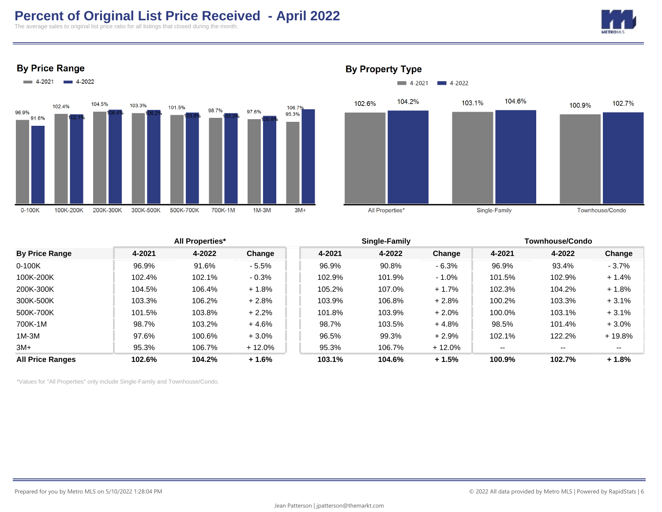# **Percent of Original List Price Received - April 2022**

The average sales to original list price ratio for all listings that closed during the month.









#### **By Property Type**



| 4-2022<br>4-2021<br>Change<br>4-2021<br>4-2022<br>4-2021<br>4-2022<br>Change<br>Change<br>0-100K<br>96.9%<br>91.6%<br>96.9%<br>90.8%<br>$-6.3%$<br>96.9%<br>93.4%<br>$-3.7\%$<br>$-5.5%$<br>100K-200K<br>102.1%<br>$-0.3%$<br>101.9%<br>102.9%<br>102.4%<br>102.9%<br>$-1.0%$<br>101.5%<br>$+1.4%$<br>106.4%<br>107.0%<br>200K-300K<br>104.5%<br>$+1.8%$<br>105.2%<br>$+1.7%$<br>102.3%<br>104.2%<br>$+1.8%$<br>300K-500K<br>106.2%<br>103.3%<br>$+2.8%$<br>103.9%<br>106.8%<br>$+2.8%$<br>100.2%<br>103.3%<br>$+3.1%$<br>500K-700K<br>103.8%<br>$+2.2%$<br>103.9%<br>$+2.0%$<br>100.0%<br>101.5%<br>103.1%<br>$+3.1%$<br>101.8%<br>700K-1M<br>98.7%<br>103.2%<br>+ 4.6%<br>103.5%<br>$+4.8%$<br>98.5%<br>$+3.0%$<br>98.7%<br>101.4%<br>1M-3M<br>99.3%<br>122.2%<br>97.6%<br>100.6%<br>$+3.0%$<br>96.5%<br>$+2.9%$<br>102.1%<br>$+19.8%$<br>3M+<br>95.3%<br>106.7%<br>106.7%<br>$+12.0\%$<br>95.3%<br>$+12.0%$<br>$- -$<br>$\overline{\phantom{a}}$<br>$- -$<br>All Price Ranges<br>102.6%<br>104.2%<br>$+1.6%$<br>104.6%<br>100.9%<br>102.7%<br>103.1%<br>$+1.5%$<br>$+1.8%$ |                       | <b>All Properties*</b> |  |  | Single-Family |  |  | Townhouse/Condo |  |  |
|-------------------------------------------------------------------------------------------------------------------------------------------------------------------------------------------------------------------------------------------------------------------------------------------------------------------------------------------------------------------------------------------------------------------------------------------------------------------------------------------------------------------------------------------------------------------------------------------------------------------------------------------------------------------------------------------------------------------------------------------------------------------------------------------------------------------------------------------------------------------------------------------------------------------------------------------------------------------------------------------------------------------------------------------------------------------------------|-----------------------|------------------------|--|--|---------------|--|--|-----------------|--|--|
|                                                                                                                                                                                                                                                                                                                                                                                                                                                                                                                                                                                                                                                                                                                                                                                                                                                                                                                                                                                                                                                                               | <b>By Price Range</b> |                        |  |  |               |  |  |                 |  |  |
|                                                                                                                                                                                                                                                                                                                                                                                                                                                                                                                                                                                                                                                                                                                                                                                                                                                                                                                                                                                                                                                                               |                       |                        |  |  |               |  |  |                 |  |  |
|                                                                                                                                                                                                                                                                                                                                                                                                                                                                                                                                                                                                                                                                                                                                                                                                                                                                                                                                                                                                                                                                               |                       |                        |  |  |               |  |  |                 |  |  |
|                                                                                                                                                                                                                                                                                                                                                                                                                                                                                                                                                                                                                                                                                                                                                                                                                                                                                                                                                                                                                                                                               |                       |                        |  |  |               |  |  |                 |  |  |
|                                                                                                                                                                                                                                                                                                                                                                                                                                                                                                                                                                                                                                                                                                                                                                                                                                                                                                                                                                                                                                                                               |                       |                        |  |  |               |  |  |                 |  |  |
|                                                                                                                                                                                                                                                                                                                                                                                                                                                                                                                                                                                                                                                                                                                                                                                                                                                                                                                                                                                                                                                                               |                       |                        |  |  |               |  |  |                 |  |  |
|                                                                                                                                                                                                                                                                                                                                                                                                                                                                                                                                                                                                                                                                                                                                                                                                                                                                                                                                                                                                                                                                               |                       |                        |  |  |               |  |  |                 |  |  |
|                                                                                                                                                                                                                                                                                                                                                                                                                                                                                                                                                                                                                                                                                                                                                                                                                                                                                                                                                                                                                                                                               |                       |                        |  |  |               |  |  |                 |  |  |
|                                                                                                                                                                                                                                                                                                                                                                                                                                                                                                                                                                                                                                                                                                                                                                                                                                                                                                                                                                                                                                                                               |                       |                        |  |  |               |  |  |                 |  |  |
|                                                                                                                                                                                                                                                                                                                                                                                                                                                                                                                                                                                                                                                                                                                                                                                                                                                                                                                                                                                                                                                                               |                       |                        |  |  |               |  |  |                 |  |  |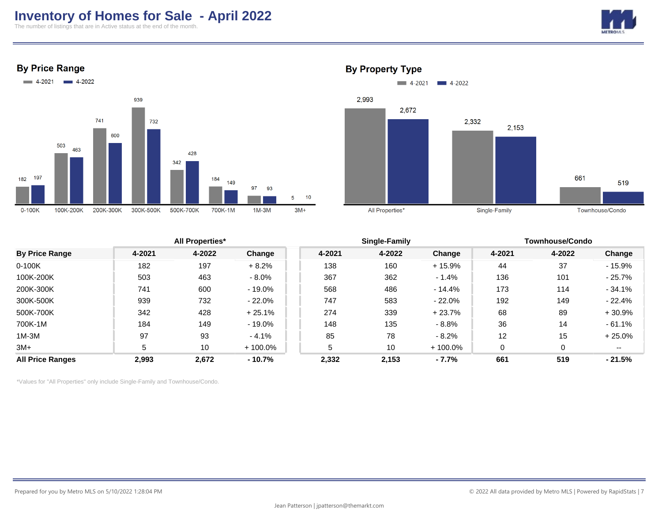## **Inventory of Homes for Sale - April 2022**

The number of listings that are in Active status at the end of the month.



**By Price Range** 





### **All Properties\* Single-Family Townhouse/Condo By Price Range 4-2021 4-2022 Change 4-2021 4-2022 Change 4-2021 4-2022 Change** 0-100K 182 197 + 8.2% 138 160 + 15.9% 44 37 - 15.9% 100K-200K 503 463 - 8.0% 367 362 - 1.4% 136 101 - 25.7% 200K-300K 741 600 - 19.0% 568 486 - 14.4% 173 114 - 34.1% 300K-500K 939 732 - 22.0% 747 583 - 22.0% 192 149 - 22.4% 500K-700K 342 428 + 25.1% 274 339 + 23.7% 68 89 + 30.9% 700K-1M 184 149 - 19.0% 148 135 - 8.8% 36 14 - 61.1% 1M-3M 97 93 - 4.1% 85 78 - 8.2% 12 15 + 25.0% 3M+ 5 10 + 100.0% 5 10 + 100.0% 0 --**All Price Ranges 2,993 2,672 - 10.7% 2,332 2,153 - 7.7% 661 519 - 21.5%**